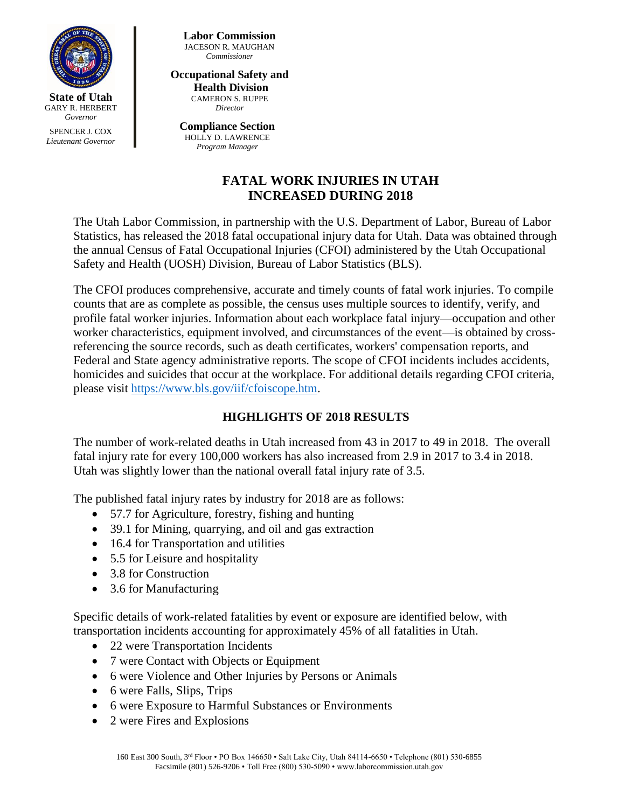

*Lieutenant Governor*

**Labor Commission** JACESON R. MAUGHAN *Commissioner*

#### **Occupational Safety and Health Division**

CAMERON S. RUPPE *Director*

**Compliance Section** HOLLY D. LAWRENCE *Program Manager*

# **FATAL WORK INJURIES IN UTAH INCREASED DURING 2018**

The Utah Labor Commission, in partnership with the U.S. Department of Labor, Bureau of Labor Statistics, has released the 2018 fatal occupational injury data for Utah. Data was obtained through the annual Census of Fatal Occupational Injuries (CFOI) administered by the Utah Occupational Safety and Health (UOSH) Division, Bureau of Labor Statistics (BLS).

The CFOI produces comprehensive, accurate and timely counts of fatal work injuries. To compile counts that are as complete as possible, the census uses multiple sources to identify, verify, and profile fatal worker injuries. Information about each workplace fatal injury—occupation and other worker characteristics, equipment involved, and circumstances of the event—is obtained by crossreferencing the source records, such as death certificates, workers' compensation reports, and Federal and State agency administrative reports. The scope of CFOI incidents includes accidents, homicides and suicides that occur at the workplace. For additional details regarding CFOI criteria, please visit [https://www.bls.gov/iif/cfoiscope.htm.](https://www.bls.gov/iif/cfoiscope.htm)

## **HIGHLIGHTS OF 2018 RESULTS**

The number of work-related deaths in Utah increased from 43 in 2017 to 49 in 2018. The overall fatal injury rate for every 100,000 workers has also increased from 2.9 in 2017 to 3.4 in 2018. Utah was slightly lower than the national overall fatal injury rate of 3.5.

The published fatal injury rates by industry for 2018 are as follows:

- 57.7 for Agriculture, forestry, fishing and hunting
- 39.1 for Mining, quarrying, and oil and gas extraction
- 16.4 for Transportation and utilities
- 5.5 for Leisure and hospitality
- 3.8 for Construction
- 3.6 for Manufacturing

Specific details of work-related fatalities by event or exposure are identified below, with transportation incidents accounting for approximately 45% of all fatalities in Utah.

- 22 were Transportation Incidents
- 7 were Contact with Objects or Equipment
- 6 were Violence and Other Injuries by Persons or Animals
- 6 were Falls, Slips, Trips
- 6 were Exposure to Harmful Substances or Environments
- 2 were Fires and Explosions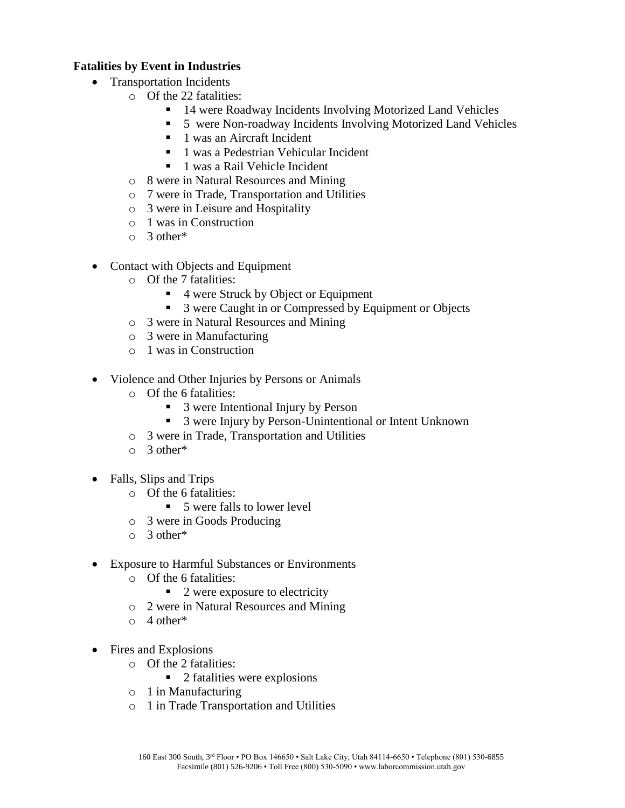### **Fatalities by Event in Industries**

- Transportation Incidents
	- o Of the 22 fatalities:
		- 14 were Roadway Incidents Involving Motorized Land Vehicles
		- 5 were Non-roadway Incidents Involving Motorized Land Vehicles
		- $\blacksquare$  1 was an Aircraft Incident
		- 1 was a Pedestrian Vehicular Incident
		- 1 was a Rail Vehicle Incident
	- o 8 were in Natural Resources and Mining
	- o 7 were in Trade, Transportation and Utilities
	- o 3 were in Leisure and Hospitality
	- o 1 was in Construction
	- o 3 other\*
- Contact with Objects and Equipment
	- o Of the 7 fatalities:
		- 4 were Struck by Object or Equipment
		- 3 were Caught in or Compressed by Equipment or Objects
	- o 3 were in Natural Resources and Mining
	- o 3 were in Manufacturing
	- o 1 was in Construction
- Violence and Other Injuries by Persons or Animals
	- o Of the 6 fatalities:
		- 3 were Intentional Injury by Person
		- 3 were Injury by Person-Unintentional or Intent Unknown
	- o 3 were in Trade, Transportation and Utilities
	- $\circ$  3 other<sup>\*</sup>
- Falls, Slips and Trips
	- o Of the 6 fatalities:
		- 5 were falls to lower level
	- o 3 were in Goods Producing
	- o 3 other\*
- Exposure to Harmful Substances or Environments
	- o Of the 6 fatalities:
		- $\blacksquare$  2 were exposure to electricity
	- o 2 were in Natural Resources and Mining
	- $\circ$  4 other\*
- Fires and Explosions
	- o Of the 2 fatalities:
		- $\blacksquare$  2 fatalities were explosions
	- o 1 in Manufacturing
	- o 1 in Trade Transportation and Utilities